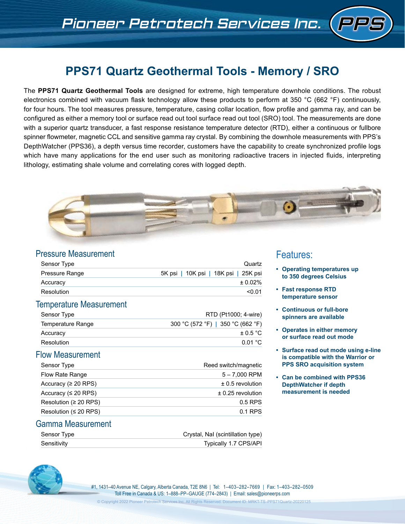# **PPS71 Quartz Geothermal Tools - Memory / SRO**

The **PPS71 Quartz Geothermal Tools** are designed for extreme, high temperature downhole conditions. The robust electronics combined with vacuum flask technology allow these products to perform at 350 °C (662 °F) continuously, for four hours. The tool measures pressure, temperature, casing collar location, flow profile and gamma ray, and can be configured as either a memory tool or surface read out tool surface read out tool (SRO) tool. The measurements are done with a superior quartz transducer, a fast response resistance temperature detector (RTD), either a continuous or fullbore spinner flowmeter, magnetic CCL and sensitive gamma ray crystal. By combining the downhole measurements with PPS's DepthWatcher (PPS36), a depth versus time recorder, customers have the capability to create synchronized profile logs which have many applications for the end user such as monitoring radioactive tracers in injected fluids, interpreting lithology, estimating shale volume and correlating cores with logged depth.



### Pressure Measurement

| Sensor Type           | Quartz                               |
|-----------------------|--------------------------------------|
| <b>Pressure Range</b> | 5K psi   10K psi   18K psi   25K psi |
| Accuracy              | $± 0.02\%$                           |
| Resolution            | < 0.01                               |

#### Temperature Measurement

| Sensor Type       | RTD (Pt1000; 4-wire)              |
|-------------------|-----------------------------------|
| Temperature Range | 300 °C (572 °F)   350 °C (662 °F) |
| Accuracy          | $\pm$ 0.5 °C                      |
| Resolution        | 0.01 °C                           |

### Flow Measurement

| Sensor Type                 | Reed switch/magnetic  |
|-----------------------------|-----------------------|
| Flow Rate Range             | $5 - 7,000$ RPM       |
| Accuracy ( $\geq 20$ RPS)   | $\pm$ 0.5 revolution  |
| Accuracy ( $\leq$ 20 RPS)   | $\pm$ 0.25 revolution |
| Resolution ( $\geq$ 20 RPS) | $0.5$ RPS             |
| Resolution ( $\leq$ 20 RPS) | 0.1 RPS               |

### Gamma Measurement

| Sensor Type | Crystal, Nal (scintillation type) |
|-------------|-----------------------------------|
| Sensitivity | <b>Typically 1.7 CPS/API</b>      |



#1, 1431–40 Avenue NE, Calgary, Alberta Canada, T2E 8N6 | Tel: 1–403–282–7669 | Fax: 1–403–282–0509 Toll Free in Canada & US: 1–888–PP–GAUGE (774–2843) | Email: sales@pioneerps.com

# Features:

- **• Operating temperatures up to 350 degrees Celsius**
- **• Fast response RTD temperature sensor**
- **• Continuous or full-bore spinners are available**
- **• Operates in either memory or surface read out mode**
- **• Surface read out mode using e-line is compatible with the Warrior or PPS SRO acquisition system**
- **• Can be combined with PPS36 DepthWatcher if depth measurement is needed**